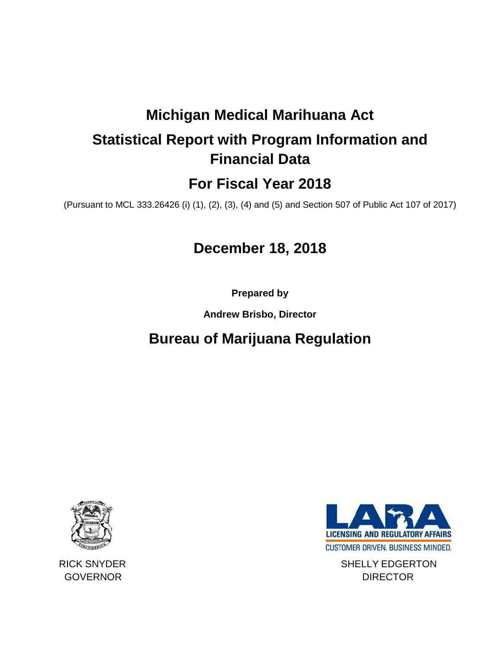# **Michigan Medical Marihuana Act**

# **Statistical Report with Program Information and Financial Data**

## **For Fiscal Year 2018**

(Pursuant to MCL 333.26426 (i) (1), (2), (3), (4) and (5) and Section 507 of Public Act 107 of 2017)

## **December 18, 2018**

**Prepared by** 

**Andrew Brisbo, Director**

## **Bureau of Marijuana Regulation**





RICK SNYDER SHELLY EDGERTON GOVERNOR DIRECTOR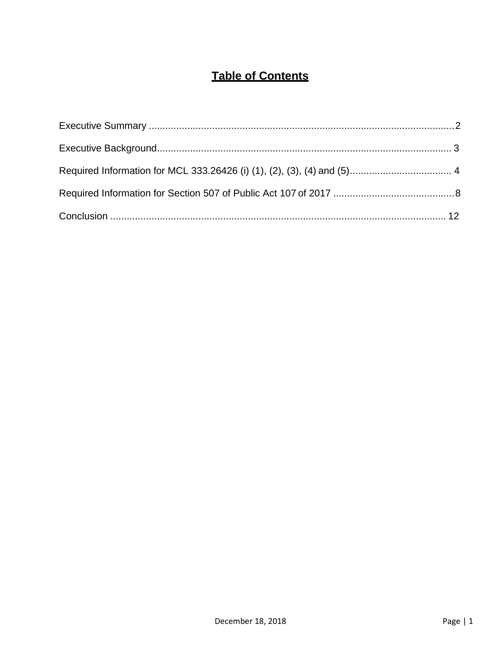## **Table of Contents**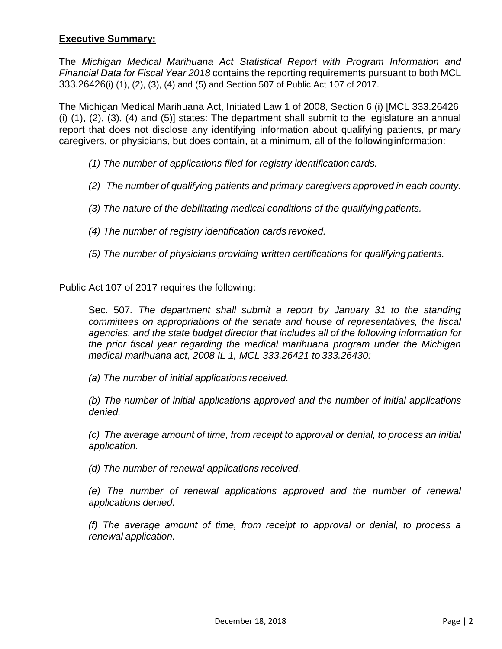### <span id="page-2-0"></span>**Executive Summary:**

The *Michigan Medical Marihuana Act Statistical Report with Program Information and Financial Data for Fiscal Year 2018* contains the reporting requirements pursuant to both MCL 333.26426(i) (1), (2), (3), (4) and (5) and Section 507 of Public Act 107 of 2017.

The Michigan Medical Marihuana Act, Initiated Law 1 of 2008, Section 6 (i) [MCL 333.26426 (i) (1), (2), (3), (4) and (5)] states: The department shall submit to the legislature an annual report that does not disclose any identifying information about qualifying patients, primary caregivers, or physicians, but does contain, at a minimum, all of the followinginformation:

- *(1) The number of applications filed for registry identification cards.*
- *(2) The number of qualifying patients and primary caregivers approved in each county.*
- *(3) The nature of the debilitating medical conditions of the qualifying patients.*
- *(4) The number of registry identification cards revoked.*
- *(5) The number of physicians providing written certifications for qualifying patients.*

Public Act 107 of 2017 requires the following:

Sec. 507*. The department shall submit a report by January 31 to the standing committees on appropriations of the senate and house of representatives, the fiscal agencies, and the state budget director that includes all of the following information for the prior fiscal year regarding the medical marihuana program under the Michigan medical marihuana act, 2008 IL 1, MCL 333.26421 to 333.26430:*

*(a) The number of initial applications received.*

*(b) The number of initial applications approved and the number of initial applications denied.*

*(c) The average amount of time, from receipt to approval or denial, to process an initial application.*

*(d) The number of renewal applications received.*

*(e) The number of renewal applications approved and the number of renewal applications denied.*

*(f) The average amount of time, from receipt to approval or denial, to process a renewal application.*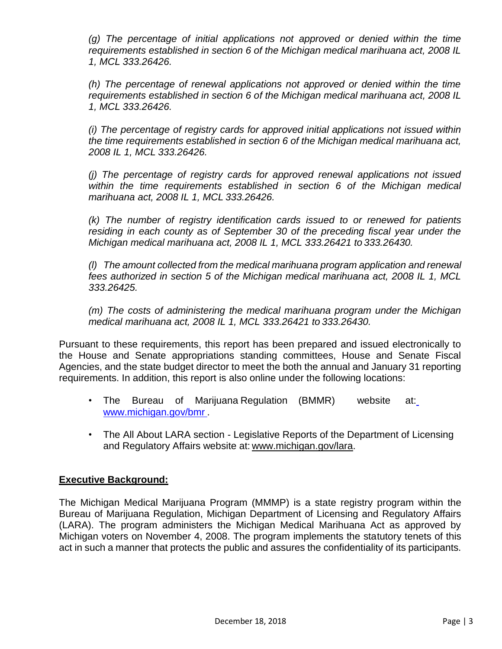*(g) The percentage of initial applications not approved or denied within the time requirements established in section 6 of the Michigan medical marihuana act, 2008 IL 1, MCL 333.26426.*

*(h) The percentage of renewal applications not approved or denied within the time requirements established in section 6 of the Michigan medical marihuana act, 2008 IL 1, MCL 333.26426.*

*(i) The percentage of registry cards for approved initial applications not issued within the time requirements established in section 6 of the Michigan medical marihuana act, 2008 IL 1, MCL 333.26426.*

*(j) The percentage of registry cards for approved renewal applications not issued within the time requirements established in section 6 of the Michigan medical marihuana act, 2008 IL 1, MCL 333.26426.*

*(k) The number of registry identification cards issued to or renewed for patients residing in each county as of September 30 of the preceding fiscal year under the Michigan medical marihuana act, 2008 IL 1, MCL 333.26421 to 333.26430.*

*(l) The amount collected from the medical marihuana program application and renewal fees authorized in section 5 of the Michigan medical marihuana act, 2008 IL 1, MCL 333.26425.*

*(m) The costs of administering the medical marihuana program under the Michigan medical marihuana act, 2008 IL 1, MCL 333.26421 to 333.26430.*

Pursuant to these requirements, this report has been prepared and issued electronically to the House and Senate appropriations standing committees, House and Senate Fiscal Agencies, and the state budget director to meet the both the annual and January 31 reporting requirements. In addition, this report is also online under the following locations:

- The Bureau of Marijuana-Regulation (BMMR) website at: [www.michigan.gov/bmr](http://www.michigan.gov/bmr) .
- The All About LARA section Legislative Reports of the Department of Licensing and Regulatory Affairs website at: [www.michigan.gov/lara.](http://www.michigan.gov/lara/)

## <span id="page-3-0"></span>**Executive Background:**

The Michigan Medical Marijuana Program (MMMP) is a state registry program within the Bureau of Marijuana Regulation, Michigan Department of Licensing and Regulatory Affairs (LARA). The program administers the Michigan Medical Marihuana Act as approved by Michigan voters on November 4, 2008. The program implements the statutory tenets of this act in such a manner that protects the public and assures the confidentiality of its participants.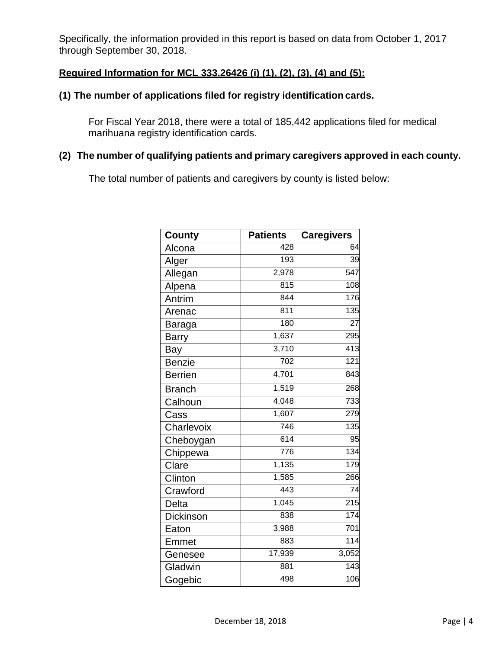Specifically, the information provided in this report is based on data from October 1, 2017 through September 30, 2018.

### <span id="page-4-0"></span>**Required Information for MCL 333.26426 (i) (1), (2), (3), (4) and (5):**

## **(1) The number of applications filed for registry identification cards.**

For Fiscal Year 2018, there were a total of 185,442 applications filed for medical marihuana registry identification cards.

## **(2) The number of qualifying patients and primary caregivers approved in each county.**

The total number of patients and caregivers by county is listed below:

| <b>County</b>  | <b>Patients</b>  | <b>Caregivers</b> |
|----------------|------------------|-------------------|
| Alcona         | 428              | 64                |
| Alger          | 193              | 39                |
| Allegan        | 2,978            | $\overline{547}$  |
| Alpena         | $\overline{815}$ | 108               |
| Antrim         | 844              | 176               |
| Arenac         | 811              | 135               |
| Baraga         | 180              | $\overline{27}$   |
| <b>Barry</b>   | 1,637            | 295               |
| Bay            | 3,710            | 413               |
| <b>Benzie</b>  | $\frac{1}{702}$  | 121               |
| <b>Berrien</b> | 4,701            | 843               |
| <b>Branch</b>  | 1,519            | 268               |
| Calhoun        | 4,048            | 733               |
| Cass           | 1,607            | 279               |
| Charlevoix     | 746              | 135               |
| Cheboygan      | 614              | 95                |
| Chippewa       | 776              | 134               |
| Clare          | 1,135            | 179               |
| Clinton        | 1,585            | 266               |
| Crawford       | $\overline{443}$ | 74                |
| Delta          | 1,045            | 215               |
| Dickinson      | 838              | 174               |
| Eaton          | 3,988            | 701               |
| Emmet          | 883              | 114               |
| Genesee        | 17,939           | 3,052             |
| Gladwin        | 881              | 143               |
| Gogebic        | 498              | 106               |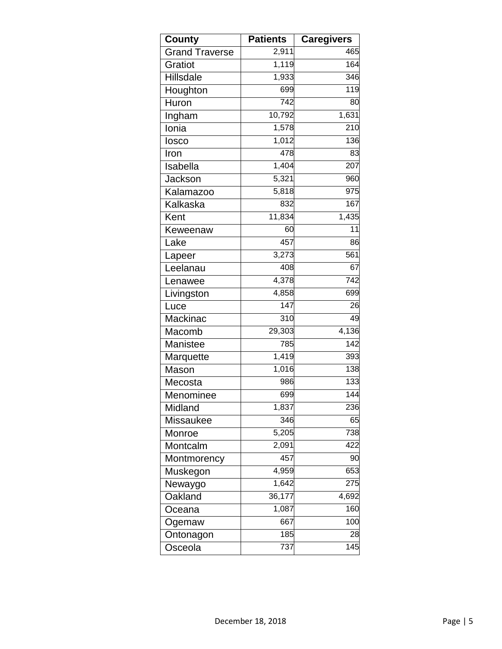| County                | <b>Patients</b> | <b>Caregivers</b> |
|-----------------------|-----------------|-------------------|
| <b>Grand Traverse</b> | 2,911           | 465               |
| Gratiot               | 1,119           | 164               |
| <b>Hillsdale</b>      | 1,933           | 346               |
| Houghton              | 699             | 119               |
| Huron                 | 742             | 80                |
| Ingham                | 10,792          | 1,631             |
| Ionia                 | 1,578           | 210               |
| losco                 | 1,012           | 136               |
| Iron                  | 478             | 83                |
| Isabella              | 1,404           | 207               |
| Jackson               | 5,321           | 960               |
| Kalamazoo             | 5,818           | 975               |
| Kalkaska              | 832             | 167               |
| Kent                  | 11,834          | 1,435             |
| Keweenaw              | 60              | 11                |
| Lake                  | 457             | 86                |
| Lapeer                | 3,273           | 561               |
| Leelanau              | 408             | 67                |
| Lenawee               | 4,378           | 742               |
| Livingston            | 4,858           | 699               |
| Luce                  | 147             | 26                |
| Mackinac              | 310             | 49                |
| Macomb                | 29,303          | 4,136             |
| Manistee              | 785             | 142               |
| Marquette             | 1,419           | 393               |
| Mason                 | 1,016           | 138               |
| Mecosta               | 986             | 133               |
| Menominee             | 699             | 144               |
| Midland               | 1,837           | 236               |
| <b>Missaukee</b>      | 346             | 65                |
| Monroe                | 5,205           | 738               |
| Montcalm              | 2,091           | 422               |
| Montmorency           | 457             | 90                |
| Muskegon              | 4,959           | 653               |
| Newaygo               | 1,642           | 275               |
| Oakland               | 36,177          | 4,692             |
| Oceana                | 1,087           | 160               |
| Ogemaw                | 667             | 100               |
| Ontonagon             | 185             | 28                |
| Osceola               | 737             | 145               |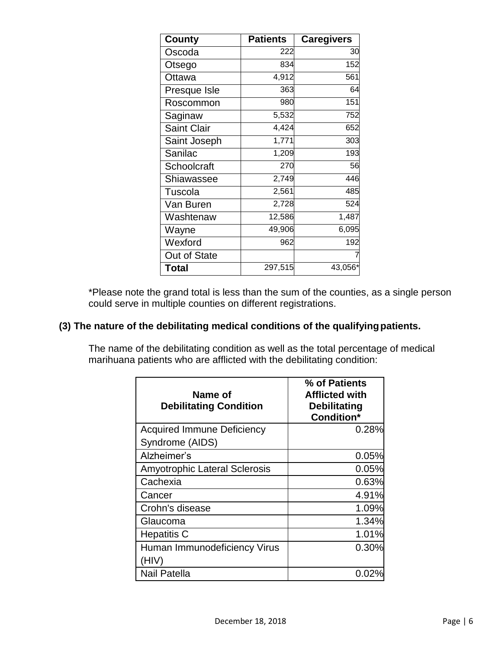| <b>County</b>      | <b>Patients</b> | <b>Caregivers</b> |
|--------------------|-----------------|-------------------|
| Oscoda             | 222             | 30                |
| Otsego             | 834             | 152               |
| Ottawa             | 4,912           | 561               |
| Presque Isle       | 363             | 64                |
| Roscommon          | 980             | 151               |
| Saginaw            | 5,532           | 752               |
| <b>Saint Clair</b> | 4,424           | 652               |
| Saint Joseph       | 1,771           | 303               |
| Sanilac            | 1,209           | 193               |
| Schoolcraft        | 270             | 56                |
| Shiawassee         | 2,749           | 446               |
| Tuscola            | 2,561           | 485               |
| Van Buren          | 2,728           | 524               |
| Washtenaw          | 12,586          | 1,487             |
| Wayne              | 49,906          | 6,095             |
| Wexford            | 962             | 192               |
| Out of State       |                 |                   |
| <b>Total</b>       | 297,515         | 43,056            |

\*Please note the grand total is less than the sum of the counties, as a single person could serve in multiple counties on different registrations.

## **(3) The nature of the debilitating medical conditions of the qualifyingpatients.**

The name of the debilitating condition as well as the total percentage of medical marihuana patients who are afflicted with the debilitating condition:

| Name of<br><b>Debilitating Condition</b> | % of Patients<br><b>Afflicted with</b><br><b>Debilitating</b><br><b>Condition*</b> |
|------------------------------------------|------------------------------------------------------------------------------------|
| <b>Acquired Immune Deficiency</b>        | 0.28%                                                                              |
| Syndrome (AIDS)                          |                                                                                    |
| Alzheimer's                              | 0.05%                                                                              |
| <b>Amyotrophic Lateral Sclerosis</b>     | 0.05%                                                                              |
| Cachexia                                 | 0.63%                                                                              |
| Cancer                                   | 4.91%                                                                              |
| Crohn's disease                          | 1.09%                                                                              |
| Glaucoma                                 | 1.34%                                                                              |
| <b>Hepatitis C</b>                       | 1.01%                                                                              |
| Human Immunodeficiency Virus             | 0.30%                                                                              |
| (HIV)                                    |                                                                                    |
| <b>Nail Patella</b>                      | 0.02                                                                               |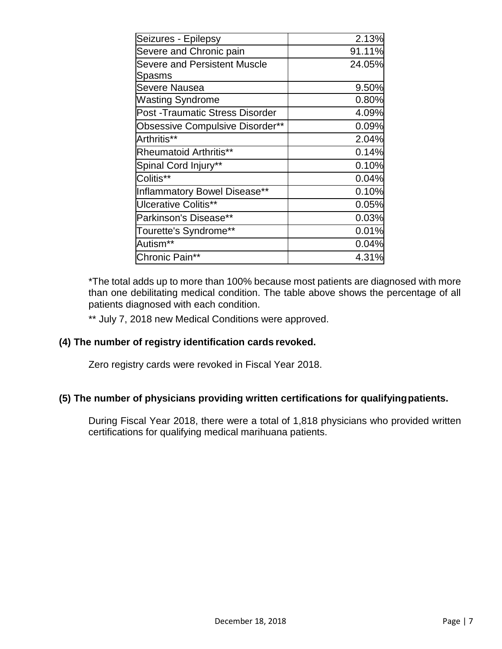| 2.13%  |
|--------|
| 91.11% |
| 24.05% |
|        |
| 9.50%  |
| 0.80%  |
| 4.09%  |
| 0.09%  |
| 2.04%  |
| 0.14%  |
| 0.10%  |
| 0.04%  |
| 0.10%  |
| 0.05%  |
| 0.03%  |
| 0.01%  |
| 0.04%  |
| 4.31%  |
|        |

\*The total adds up to more than 100% because most patients are diagnosed with more than one debilitating medical condition. The table above shows the percentage of all patients diagnosed with each condition.

\*\* July 7, 2018 new Medical Conditions were approved.

### **(4) The number of registry identification cards revoked.**

Zero registry cards were revoked in Fiscal Year 2018.

### **(5) The number of physicians providing written certifications for qualifyingpatients.**

During Fiscal Year 2018, there were a total of 1,818 physicians who provided written certifications for qualifying medical marihuana patients.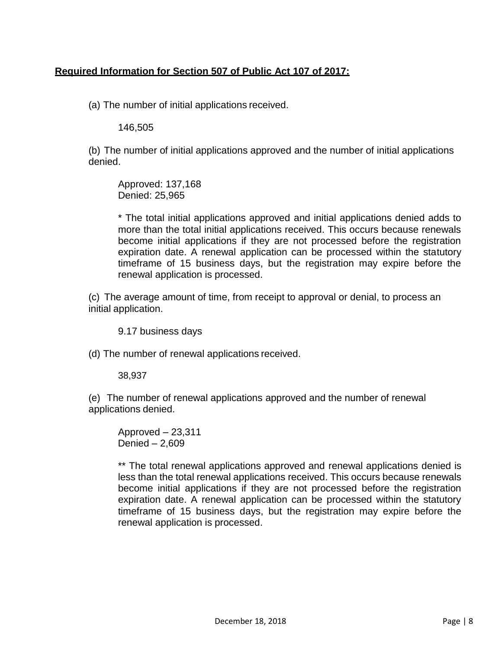## <span id="page-8-0"></span>**Required Information for Section 507 of Public Act 107 of 2017:**

(a) The number of initial applications received.

146,505

(b) The number of initial applications approved and the number of initial applications denied.

Approved: 137,168 Denied: 25,965

\* The total initial applications approved and initial applications denied adds to more than the total initial applications received. This occurs because renewals become initial applications if they are not processed before the registration expiration date. A renewal application can be processed within the statutory timeframe of 15 business days, but the registration may expire before the renewal application is processed.

(c) The average amount of time, from receipt to approval or denial, to process an initial application.

9.17 business days

(d) The number of renewal applications received.

38,937

(e) The number of renewal applications approved and the number of renewal applications denied.

Approved – 23,311 Denied – 2,609

\*\* The total renewal applications approved and renewal applications denied is less than the total renewal applications received. This occurs because renewals become initial applications if they are not processed before the registration expiration date. A renewal application can be processed within the statutory timeframe of 15 business days, but the registration may expire before the renewal application is processed.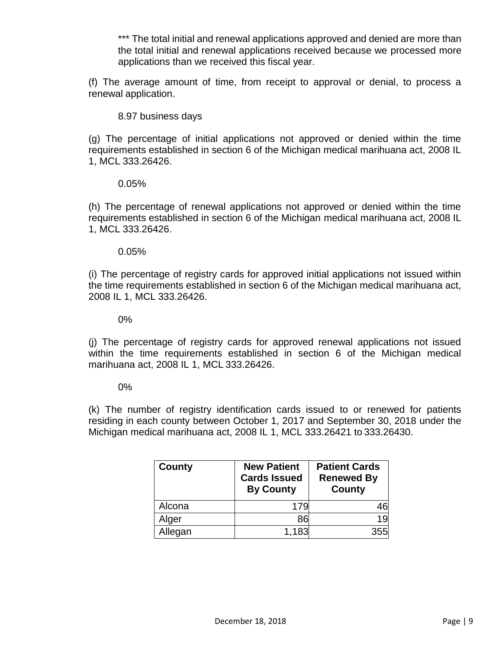\*\*\* The total initial and renewal applications approved and denied are more than the total initial and renewal applications received because we processed more applications than we received this fiscal year.

(f) The average amount of time, from receipt to approval or denial, to process a renewal application.

8.97 business days

(g) The percentage of initial applications not approved or denied within the time requirements established in section 6 of the Michigan medical marihuana act, 2008 IL 1, MCL 333.26426.

#### 0.05%

(h) The percentage of renewal applications not approved or denied within the time requirements established in section 6 of the Michigan medical marihuana act, 2008 IL 1, MCL 333.26426.

#### 0.05%

(i) The percentage of registry cards for approved initial applications not issued within the time requirements established in section 6 of the Michigan medical marihuana act, 2008 IL 1, MCL 333.26426.

0%

(j) The percentage of registry cards for approved renewal applications not issued within the time requirements established in section 6 of the Michigan medical marihuana act, 2008 IL 1, MCL 333.26426.

#### 0%

(k) The number of registry identification cards issued to or renewed for patients residing in each county between October 1, 2017 and September 30, 2018 under the Michigan medical marihuana act, 2008 IL 1, MCL 333.26421 to 333.26430.

| <b>County</b> | <b>New Patient</b><br><b>Cards Issued</b><br><b>By County</b> | <b>Patient Cards</b><br><b>Renewed By</b><br><b>County</b> |
|---------------|---------------------------------------------------------------|------------------------------------------------------------|
| Alcona        | 179                                                           | 46                                                         |
| Alger         | 86                                                            | 19                                                         |
| Allegan       | 1,183                                                         | 355                                                        |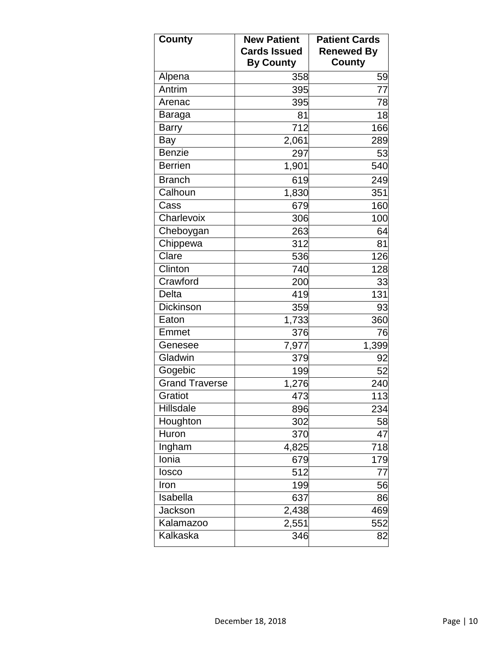| <b>County</b>         | <b>New Patient</b><br><b>Cards Issued</b> | <b>Patient Cards</b><br><b>Renewed By</b> |
|-----------------------|-------------------------------------------|-------------------------------------------|
|                       | <b>By County</b>                          | County                                    |
| Alpena                | 358                                       | 59                                        |
| Antrim                | 395                                       | 77                                        |
| Arenac                | 395                                       | 78                                        |
| Baraga                | 81                                        | 18                                        |
| <b>Barry</b>          | 712                                       | 166                                       |
| Bay                   | 2,061                                     | 289                                       |
| <b>Benzie</b>         | 297                                       | 53                                        |
| <b>Berrien</b>        | 1,901                                     | 540                                       |
| <b>Branch</b>         | 619                                       | 249                                       |
| Calhoun               | 1,830                                     | 351                                       |
| Cass                  | 679                                       | 160                                       |
| Charlevoix            | 306                                       | 100                                       |
| Cheboygan             | 263                                       | 64                                        |
| Chippewa              | 312                                       | 81                                        |
| Clare                 | 536                                       | 126                                       |
| Clinton               | 740                                       | 128                                       |
| Crawford              | 200                                       | 33                                        |
| Delta                 | 419                                       | 131                                       |
| <b>Dickinson</b>      | 359                                       | 93                                        |
| Eaton                 | 1,733                                     | 360                                       |
| Emmet                 | 376                                       | 76                                        |
| Genesee               | 7,977                                     | 1,399                                     |
| Gladwin               | 379                                       | 92                                        |
| Gogebic               | 199                                       | 52                                        |
| <b>Grand Traverse</b> | 1,276                                     | 240                                       |
| Gratiot               | 473                                       | 113                                       |
| Hillsdale             | 896                                       | 234                                       |
| Houghton              | 302                                       | 58                                        |
| Huron                 | 370                                       | 47                                        |
| Ingham                | 4,825                                     | 718                                       |
| Ionia                 | 679                                       | 179                                       |
| losco                 | 512                                       | 77                                        |
| Iron                  | 199                                       | 56                                        |
| Isabella              | 637                                       | 86                                        |
| Jackson               | 2,438                                     | 469                                       |
| Kalamazoo             | 2,551                                     | 552                                       |
| Kalkaska              | 346                                       | 82                                        |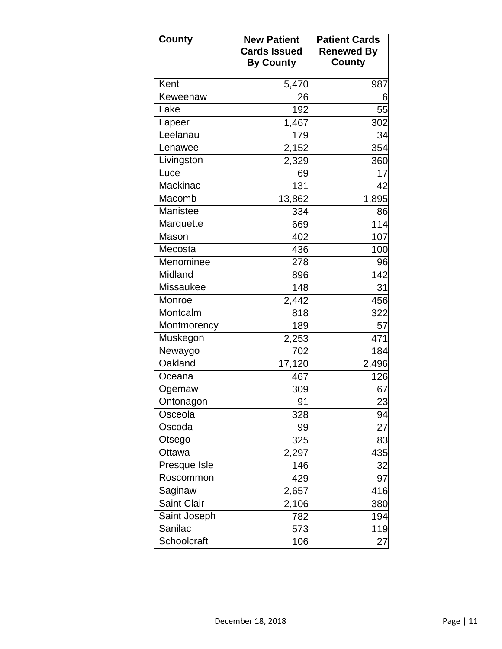| <b>County</b>    | <b>New Patient</b><br><b>Cards Issued</b><br><b>By County</b> | <b>Patient Cards</b><br><b>Renewed By</b><br>County |
|------------------|---------------------------------------------------------------|-----------------------------------------------------|
| Kent             | 5,470                                                         | 987                                                 |
| Keweenaw         | 26                                                            | 6                                                   |
| Lake             | 192                                                           | 55                                                  |
| Lapeer           | 1,467                                                         | 302                                                 |
| Leelanau         | 179                                                           | 34                                                  |
| Lenawee          | 2,152                                                         | 354                                                 |
| Livingston       | 2,329                                                         | 360                                                 |
| Luce             | 69                                                            | 17                                                  |
| Mackinac         | 131                                                           | 42                                                  |
| Macomb           | 13,862                                                        | 1,895                                               |
| Manistee         | 334                                                           | 86                                                  |
| Marquette        | 669                                                           | 114                                                 |
| Mason            | 402                                                           | 107                                                 |
| Mecosta          | 436                                                           | 100                                                 |
| Menominee        | 278                                                           | 96                                                  |
| Midland          | 896                                                           | 142                                                 |
| <b>Missaukee</b> | 148                                                           | 31                                                  |
| Monroe           | 2,442                                                         | 456                                                 |
| Montcalm         | 818                                                           | 322                                                 |
| Montmorency      | 189                                                           | 57                                                  |
| Muskegon         | 2,253                                                         | 471                                                 |
| Newaygo          | 702                                                           | 184                                                 |
| Oakland          | 17,120                                                        | 2,496                                               |
| Oceana           | 467                                                           | 126                                                 |
| Ogemaw           | 309                                                           | 67                                                  |
| Ontonagon        | 91                                                            | 23                                                  |
| Osceola          | 328                                                           | 94                                                  |
| Oscoda           | 99                                                            | 27                                                  |
| Otsego           | 325                                                           | 83                                                  |
| Ottawa           | 2,297                                                         | 435                                                 |
| Presque Isle     | 146                                                           | 32                                                  |
| Roscommon        | 429                                                           | 97                                                  |
| Saginaw          | 2,657                                                         | 416                                                 |
| Saint Clair      | 2,106                                                         | 380                                                 |
| Saint Joseph     | 782                                                           | 194                                                 |
| Sanilac          | 573                                                           | 119                                                 |
| Schoolcraft      | 106                                                           | 27                                                  |